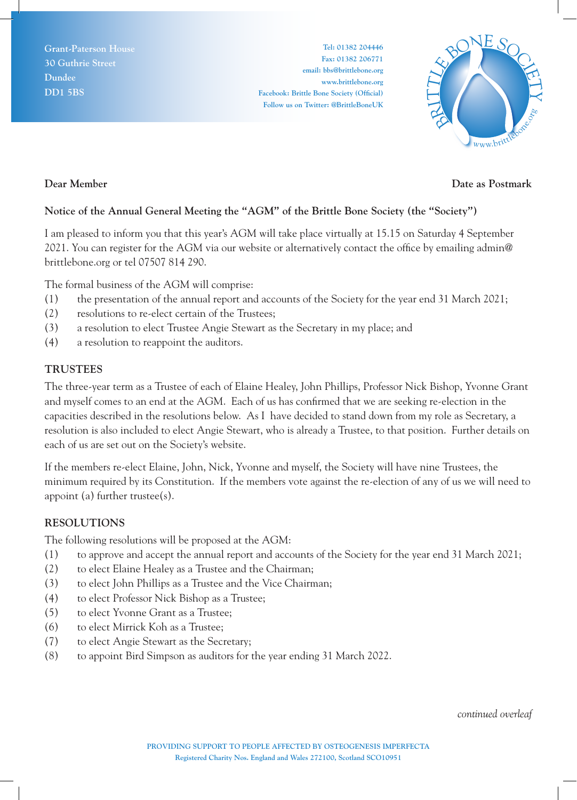**Grant-Paterson House 30 Guthrie Street Dundee DD1 5BS**

**Tel: 01382 204446 Fax: 01382 206771 email: bbs@brittlebone.org www.brittlebone.org Facebook: Brittle Bone Society (Official) Follow us on Twitter: @BrittleBoneUK**



### **Dear Member**

# **Date as Postmark**

## **Notice of the Annual General Meeting the "AGM" of the Brittle Bone Society (the "Society")**

I am pleased to inform you that this year's AGM will take place virtually at 15.15 on Saturday 4 September 2021. You can register for the AGM via our website or alternatively contact the office by emailing admin@ brittlebone.org or tel 07507 814 290.

The formal business of the AGM will comprise:

- (1) the presentation of the annual report and accounts of the Society for the year end 31 March 2021;
- (2) resolutions to re-elect certain of the Trustees;
- (3) a resolution to elect Trustee Angie Stewart as the Secretary in my place; and
- (4) a resolution to reappoint the auditors.

## **TRUSTEES**

The three-year term as a Trustee of each of Elaine Healey, John Phillips, Professor Nick Bishop, Yvonne Grant and myself comes to an end at the AGM. Each of us has confirmed that we are seeking re-election in the capacities described in the resolutions below. As I have decided to stand down from my role as Secretary, a resolution is also included to elect Angie Stewart, who is already a Trustee, to that position. Further details on each of us are set out on the Society's website.

If the members re-elect Elaine, John, Nick, Yvonne and myself, the Society will have nine Trustees, the minimum required by its Constitution. If the members vote against the re-election of any of us we will need to appoint (a) further trustee $(s)$ .

## **RESOLUTIONS**

The following resolutions will be proposed at the AGM:

- (1) to approve and accept the annual report and accounts of the Society for the year end 31 March 2021;
- (2) to elect Elaine Healey as a Trustee and the Chairman;
- (3) to elect John Phillips as a Trustee and the Vice Chairman;
- (4) to elect Professor Nick Bishop as a Trustee;
- (5) to elect Yvonne Grant as a Trustee;
- (6) to elect Mirrick Koh as a Trustee;
- (7) to elect Angie Stewart as the Secretary;
- (8) to appoint Bird Simpson as auditors for the year ending 31 March 2022.

*continued overleaf*